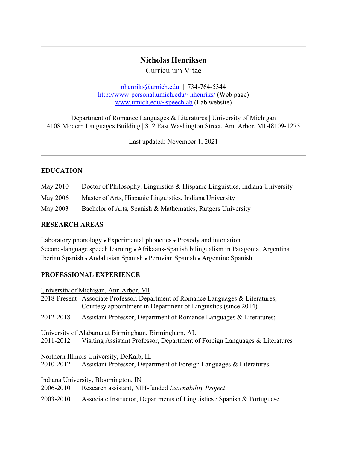# **Nicholas Henriksen**

Curriculum Vitae

nhenriks@umich.edu **|** 734-764-5344 http://www-personal.umich.edu/~nhenriks/ (Web page) www.umich.edu/~speechlab (Lab website)

Department of Romance Languages & Literatures | University of Michigan 4108 Modern Languages Building | 812 East Washington Street, Ann Arbor, MI 48109-1275

Last updated: November 1, 2021

## **EDUCATION**

- May 2010 Doctor of Philosophy, Linguistics & Hispanic Linguistics, Indiana University
- May 2006 Master of Arts, Hispanic Linguistics, Indiana University

May 2003 Bachelor of Arts, Spanish & Mathematics, Rutgers University

## **RESEARCH AREAS**

Laboratory phonology • Experimental phonetics • Prosody and intonation Second-language speech learning • Afrikaans-Spanish bilingualism in Patagonia, Argentina Iberian Spanish • Andalusian Spanish • Peruvian Spanish • Argentine Spanish

## **PROFESSIONAL EXPERIENCE**

University of Michigan, Ann Arbor, MI 2018-Present Associate Professor, Department of Romance Languages & Literatures; Courtesy appointment in Department of Linguistics (since 2014) 2012-2018 Assistant Professor, Department of Romance Languages & Literatures; University of Alabama at Birmingham, Birmingham, AL 2011-2012 Visiting Assistant Professor, Department of Foreign Languages & Literatures Northern Illinois University, DeKalb, IL 2010-2012 Assistant Professor, Department of Foreign Languages & Literatures Indiana University, Bloomington, IN 2006-2010 Research assistant, NIH-funded *Learnability Project* 2003-2010 Associate Instructor, Departments of Linguistics / Spanish & Portuguese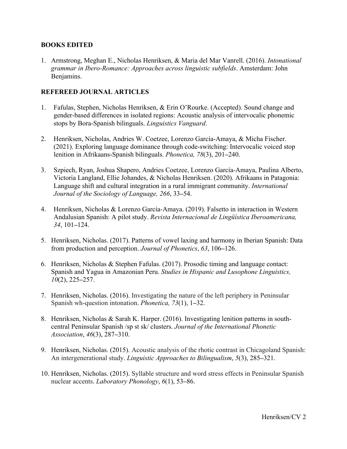## **BOOKS EDITED**

1. Armstrong, Meghan E., Nicholas Henriksen, & Maria del Mar Vanrell. (2016). *Intonational grammar in Ibero-Romance: Approaches across linguistic subfields*. Amsterdam: John Benjamins.

## **REFEREED JOURNAL ARTICLES**

- 1. Fafulas, Stephen, Nicholas Henriksen, & Erin O'Rourke. (Accepted). Sound change and gender-based differences in isolated regions: Acoustic analysis of intervocalic phonemic stops by Bora-Spanish bilinguals. *Linguistics Vanguard*.
- 2. Henriksen, Nicholas, Andries W. Coetzee, Lorenzo García-Amaya, & Micha Fischer. (2021). Exploring language dominance through code-switching: Intervocalic voiced stop lenition in Afrikaans-Spanish bilinguals. *Phonetica, 78*(3), 201**–**240.
- 3. Szpiech, Ryan, Joshua Shapero, Andries Coetzee, Lorenzo García-Amaya, Paulina Alberto, Victoria Langland, Ellie Johandes, & Nicholas Henriksen. (2020). Afrikaans in Patagonia: Language shift and cultural integration in a rural immigrant community. *International Journal of the Sociology of Language, 266*, 33**–**54.
- 4. Henriksen, Nicholas & Lorenzo García-Amaya. (2019). Falsetto in interaction in Western Andalusian Spanish: A pilot study. *Revista Internacional de Lingüística Iberoamericana, 34*, 101**–**124.
- 5. Henriksen, Nicholas. (2017). Patterns of vowel laxing and harmony in Iberian Spanish: Data from production and perception. *Journal of Phonetics*, *63*, 106**–**126.
- 6. Henriksen, Nicholas & Stephen Fafulas. (2017). Prosodic timing and language contact: Spanish and Yagua in Amazonian Peru. *Studies in Hispanic and Lusophone Linguistics, 10*(2), 225**–**257.
- 7. Henriksen, Nicholas. (2016). Investigating the nature of the left periphery in Peninsular Spanish wh-question intonation. *Phonetica, 73*(1), 1**–**32.
- 8. Henriksen, Nicholas & Sarah K. Harper. (2016). Investigating lenition patterns in southcentral Peninsular Spanish /sp st sk/ clusters. *Journal of the International Phonetic Association*, *46*(3), 287**–**310.
- 9. Henriksen, Nicholas. (2015). Acoustic analysis of the rhotic contrast in Chicagoland Spanish: An intergenerational study. *Linguistic Approaches to Bilingualism*, *5*(3), 285**–**321.
- 10. Henriksen, Nicholas. (2015). Syllable structure and word stress effects in Peninsular Spanish nuclear accents. *Laboratory Phonology*, *6*(1), 53**–**86.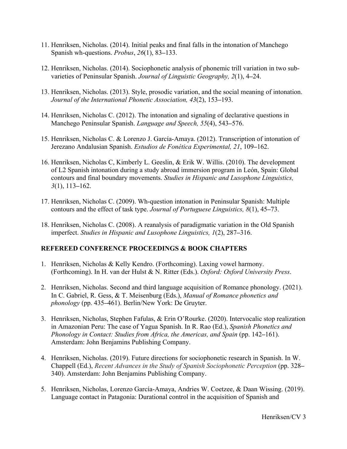- 11. Henriksen, Nicholas. (2014). Initial peaks and final falls in the intonation of Manchego Spanish wh-questions. *Probus*, *26*(1), 83**–**133.
- 12. Henriksen, Nicholas. (2014). Sociophonetic analysis of phonemic trill variation in two subvarieties of Peninsular Spanish. *Journal of Linguistic Geography, 2*(1), 4**–**24.
- 13. Henriksen, Nicholas. (2013). Style, prosodic variation, and the social meaning of intonation. *Journal of the International Phonetic Association, 43*(2), 153**–**193.
- 14. Henriksen, Nicholas C. (2012). The intonation and signaling of declarative questions in Manchego Peninsular Spanish. *Language and Speech, 55*(4), 543**–**576.
- 15. Henriksen, Nicholas C. & Lorenzo J. García-Amaya. (2012). Transcription of intonation of Jerezano Andalusian Spanish. *Estudios de Fonética Experimental, 21*, 109**–**162.
- 16. Henriksen, Nicholas C, Kimberly L. Geeslin, & Erik W. Willis. (2010). The development of L2 Spanish intonation during a study abroad immersion program in León, Spain: Global contours and final boundary movements. *Studies in Hispanic and Lusophone Linguistics, 3*(1), 113**–**162.
- 17. Henriksen, Nicholas C. (2009). Wh-question intonation in Peninsular Spanish: Multiple contours and the effect of task type. *Journal of Portuguese Linguistics, 8*(1), 45**–**73.
- 18. Henriksen, Nicholas C. (2008). A reanalysis of paradigmatic variation in the Old Spanish imperfect. *Studies in Hispanic and Lusophone Linguistics, 1*(2), 287**–**316.

## **REFEREED CONFERENCE PROCEEDINGS & BOOK CHAPTERS**

- 1. Henriksen, Nicholas & Kelly Kendro. (Forthcoming). Laxing vowel harmony. (Forthcoming). In H. van der Hulst & N. Ritter (Eds.). *Oxford: Oxford University Press*.
- 2. Henriksen, Nicholas. Second and third language acquisition of Romance phonology. (2021). In C. Gabriel, R. Gess, & T. Meisenburg (Eds.), *Manual of Romance phonetics and phonology* (pp. 435**–**461). Berlin/New York: De Gruyter.
- 3. Henriksen, Nicholas, Stephen Fafulas, & Erin O'Rourke. (2020). Intervocalic stop realization in Amazonian Peru: The case of Yagua Spanish. In R. Rao (Ed.), *Spanish Phonetics and Phonology in Contact: Studies from Africa, the Americas, and Spain* (pp. 142**–**161). Amsterdam: John Benjamins Publishing Company.
- 4. Henriksen, Nicholas. (2019). Future directions for sociophonetic research in Spanish. In W. Chappell (Ed.), *Recent Advances in the Study of Spanish Sociophonetic Perception* (pp. 328**–** 340). Amsterdam: John Benjamins Publishing Company.
- 5. Henriksen, Nicholas, Lorenzo García-Amaya, Andries W. Coetzee, & Daan Wissing. (2019). Language contact in Patagonia: Durational control in the acquisition of Spanish and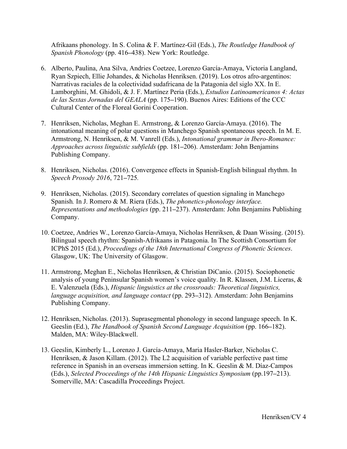Afrikaans phonology. In S. Colina & F. Martínez-Gil (Eds.), *The Routledge Handbook of Spanish Phonology* (pp. 416**–**438). New York: Routledge.

- 6. Alberto, Paulina, Ana Silva, Andries Coetzee, Lorenzo García-Amaya, Victoria Langland, Ryan Szpiech, Ellie Johandes, & Nicholas Henriksen. (2019). Los otros afro-argentinos: Narrativas raciales de la colectividad sudafricana de la Patagonia del siglo XX. In E. Lamborghini, M. Ghidoli, & J. F. Martínez Peria (Eds.), *Estudios Latinoamericanos 4: Actas de las Sextas Jornadas del GEALA* (pp. 175**–**190). Buenos Aires: Editions of the CCC Cultural Center of the Floreal Gorini Cooperation.
- 7. Henriksen, Nicholas, Meghan E. Armstrong, & Lorenzo García-Amaya. (2016). The intonational meaning of polar questions in Manchego Spanish spontaneous speech. In M. E. Armstrong, N. Henriksen, & M. Vanrell (Eds.), *Intonational grammar in Ibero-Romance: Approaches across linguistic subfields* (pp. 181**–**206). Amsterdam: John Benjamins Publishing Company.
- 8. Henriksen, Nicholas. (2016). Convergence effects in Spanish-English bilingual rhythm. In *Speech Prosody 2016*, 721**–**725*.*
- 9. Henriksen, Nicholas. (2015). Secondary correlates of question signaling in Manchego Spanish*.* In J. Romero & M. Riera (Eds.), *The phonetics-phonology interface. Representations and methodologies* (pp. 211**–**237). Amsterdam: John Benjamins Publishing Company.
- 10. Coetzee, Andries W., Lorenzo García-Amaya, Nicholas Henriksen, & Daan Wissing. (2015). Bilingual speech rhythm: Spanish-Afrikaans in Patagonia. In The Scottish Consortium for ICPhS 2015 (Ed.), *Proceedings of the 18th International Congress of Phonetic Sciences*. Glasgow, UK: The University of Glasgow.
- 11. Armstrong, Meghan E., Nicholas Henriksen, & Christian DiCanio. (2015). Sociophonetic analysis of young Peninsular Spanish women's voice quality. In R. Klassen, J.M. Liceras, & E. Valenzuela (Eds.), *Hispanic linguistics at the crossroads: Theoretical linguistics, language acquisition, and language contact* (pp. 293**–**312). Amsterdam: John Benjamins Publishing Company.
- 12. Henriksen, Nicholas. (2013). Suprasegmental phonology in second language speech. In K. Geeslin (Ed.), *The Handbook of Spanish Second Language Acquisition* (pp. 166**–**182). Malden, MA: Wiley-Blackwell.
- 13. Geeslin, Kimberly L., Lorenzo J. García-Amaya, Maria Hasler-Barker, Nicholas C. Henriksen, & Jason Killam. (2012). The L2 acquisition of variable perfective past time reference in Spanish in an overseas immersion setting. In K. Geeslin & M. Díaz-Campos (Eds.), *Selected Proceedings of the 14th Hispanic Linguistics Symposium* (pp.197**–**213). Somerville, MA: Cascadilla Proceedings Project.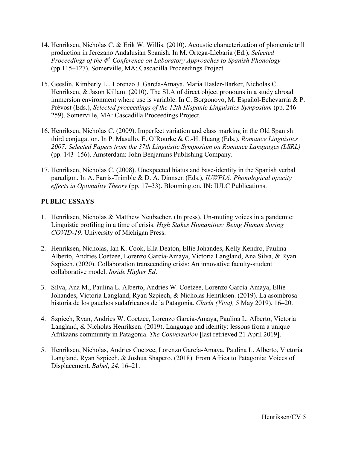- 14. Henriksen, Nicholas C. & Erik W. Willis. (2010). Acoustic characterization of phonemic trill production in Jerezano Andalusian Spanish. In M. Ortega-Llebaria (Ed.), *Selected Proceedings of the 4th Conference on Laboratory Approaches to Spanish Phonology* (pp.115**–**127). Somerville, MA: Cascadilla Proceedings Project.
- 15. Geeslin, Kimberly L., Lorenzo J. García-Amaya, Maria Hasler-Barker, Nicholas C. Henriksen, & Jason Killam. (2010). The SLA of direct object pronouns in a study abroad immersion environment where use is variable. In C. Borgonovo, M. Español-Echevarría & P. Prévost (Eds.), *Selected proceedings of the 12th Hispanic Linguistics Symposium* (pp. 246**–** 259). Somerville, MA: Cascadilla Proceedings Project.
- 16. Henriksen, Nicholas C. (2009). Imperfect variation and class marking in the Old Spanish third conjugation. In P. Masullo, E. O'Rourke & C.-H. Huang (Eds.), *Romance Linguistics 2007: Selected Papers from the 37th Linguistic Symposium on Romance Languages (LSRL)* (pp. 143**–**156). Amsterdam: John Benjamins Publishing Company.
- 17. Henriksen, Nicholas C. (2008). Unexpected hiatus and base-identity in the Spanish verbal paradigm. In A. Farris-Trimble & D. A. Dinnsen (Eds.), *IUWPL6: Phonological opacity effects in Optimality Theory* (pp. 17**–**33). Bloomington, IN: IULC Publications.

## **PUBLIC ESSAYS**

- 1. Henriksen, Nicholas & Matthew Neubacher. (In press). Un-muting voices in a pandemic: Linguistic profiling in a time of crisis. *High Stakes Humanities: Being Human during COVID-19*. University of Michigan Press.
- 2. Henriksen, Nicholas, Ian K. Cook, Ella Deaton, Ellie Johandes, Kelly Kendro, Paulina Alberto, Andries Coetzee, Lorenzo García-Amaya, Victoria Langland, Ana Silva, & Ryan Szpiech. (2020). Collaboration transcending crisis: An innovative faculty-student collaborative model. *Inside Higher Ed*.
- 3. Silva, Ana M., Paulina L. Alberto, Andries W. Coetzee, Lorenzo García-Amaya, Ellie Johandes, Victoria Langland, Ryan Szpiech, & Nicholas Henriksen. (2019). La asombrosa historia de los gauchos sudafricanos de la Patagonia. *Clarín (Viva),* 5 May 2019), 16**–**20.
- 4. Szpiech, Ryan, Andries W. Coetzee, Lorenzo García-Amaya, Paulina L. Alberto, Victoria Langland, & Nicholas Henriksen. (2019). Language and identity: lessons from a unique Afrikaans community in Patagonia. *The Conversation* [last retrieved 21 April 2019].
- 5. Henriksen, Nicholas, Andries Coetzee, Lorenzo García-Amaya, Paulina L. Alberto, Victoria Langland, Ryan Szpiech, & Joshua Shapero. (2018). From Africa to Patagonia: Voices of Displacement. *Babel*, *24*, 16**–**21.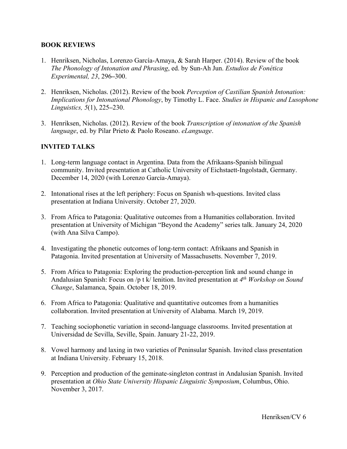## **BOOK REVIEWS**

- 1. Henriksen, Nicholas, Lorenzo García-Amaya, & Sarah Harper. (2014). Review of the book *The Phonology of Intonation and Phrasing*, ed. by Sun-Ah Jun. *Estudios de Fonética Experimental, 23*, 296**–**300.
- 2. Henriksen, Nicholas. (2012). Review of the book *Perception of Castilian Spanish Intonation: Implications for Intonational Phonology*, by Timothy L. Face. *Studies in Hispanic and Lusophone Linguistics, 5*(1), 225**–**230.
- 3. Henriksen, Nicholas. (2012). Review of the book *Transcription of intonation of the Spanish language*, ed. by Pilar Prieto & Paolo Roseano. *eLanguage*.

## **INVITED TALKS**

- 1. Long-term language contact in Argentina. Data from the Afrikaans-Spanish bilingual community. Invited presentation at Catholic University of Eichstaett-Ingolstadt, Germany. December 14, 2020 (with Lorenzo García-Amaya).
- 2. Intonational rises at the left periphery: Focus on Spanish wh-questions. Invited class presentation at Indiana University. October 27, 2020.
- 3. From Africa to Patagonia: Qualitative outcomes from a Humanities collaboration. Invited presentation at University of Michigan "Beyond the Academy" series talk. January 24, 2020 (with Ana Silva Campo).
- 4. Investigating the phonetic outcomes of long-term contact: Afrikaans and Spanish in Patagonia. Invited presentation at University of Massachusetts. November 7, 2019.
- 5. From Africa to Patagonia: Exploring the production-perception link and sound change in Andalusian Spanish: Focus on /p t k/ lenition. Invited presentation at *4th Workshop on Sound Change*, Salamanca, Spain. October 18, 2019.
- 6. From Africa to Patagonia: Qualitative and quantitative outcomes from a humanities collaboration. Invited presentation at University of Alabama. March 19, 2019.
- 7. Teaching sociophonetic variation in second-language classrooms. Invited presentation at Universidad de Sevilla, Seville, Spain. January 21-22, 2019.
- 8. Vowel harmony and laxing in two varieties of Peninsular Spanish. Invited class presentation at Indiana University. February 15, 2018.
- 9. Perception and production of the geminate-singleton contrast in Andalusian Spanish. Invited presentation at *Ohio State University Hispanic Linguistic Symposium*, Columbus, Ohio. November 3, 2017.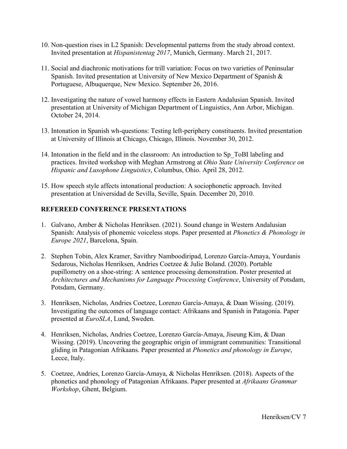- 10. Non-question rises in L2 Spanish: Developmental patterns from the study abroad context. Invited presentation at *Hispanistentag 2017*, Munich, Germany. March 21, 2017.
- 11. Social and diachronic motivations for trill variation: Focus on two varieties of Peninsular Spanish. Invited presentation at University of New Mexico Department of Spanish & Portuguese, Albuquerque, New Mexico. September 26, 2016.
- 12. Investigating the nature of vowel harmony effects in Eastern Andalusian Spanish. Invited presentation at University of Michigan Department of Linguistics, Ann Arbor, Michigan. October 24, 2014.
- 13. Intonation in Spanish wh-questions: Testing left-periphery constituents. Invited presentation at University of Illinois at Chicago, Chicago, Illinois. November 30, 2012.
- 14. Intonation in the field and in the classroom: An introduction to Sp\_ToBI labeling and practices. Invited workshop with Meghan Armstrong at *Ohio State University Conference on Hispanic and Lusophone Linguistics*, Columbus, Ohio. April 28, 2012.
- 15. How speech style affects intonational production: A sociophonetic approach. Invited presentation at Universidad de Sevilla, Seville, Spain. December 20, 2010.

## **REFEREED CONFERENCE PRESENTATIONS**

- 1. Galvano, Amber & Nicholas Henriksen. (2021). Sound change in Western Andalusian Spanish: Analysis of phonemic voiceless stops. Paper presented at *Phonetics & Phonology in Europe 2021*, Barcelona, Spain.
- 2. Stephen Tobin, Alex Kramer, Savithry Namboodiripad, Lorenzo García-Amaya, Yourdanis Sedarous, Nicholas Henriksen, Andries Coetzee & Julie Boland. (2020). Portable pupillometry on a shoe-string: A sentence processing demonstration. Poster presented at *Architectures and Mechanisms for Language Processing Conference*, University of Potsdam, Potsdam, Germany.
- 3. Henriksen, Nicholas, Andries Coetzee, Lorenzo García-Amaya, & Daan Wissing. (2019). Investigating the outcomes of language contact: Afrikaans and Spanish in Patagonia. Paper presented at *EuroSLA*, Lund, Sweden.
- 4. Henriksen, Nicholas, Andries Coetzee, Lorenzo García-Amaya, Jiseung Kim, & Daan Wissing. (2019). Uncovering the geographic origin of immigrant communities: Transitional gliding in Patagonian Afrikaans. Paper presented at *Phonetics and phonology in Europe*, Lecce, Italy.
- 5. Coetzee, Andries, Lorenzo García-Amaya, & Nicholas Henriksen. (2018). Aspects of the phonetics and phonology of Patagonian Afrikaans. Paper presented at *Afrikaans Grammar Workshop*, Ghent, Belgium.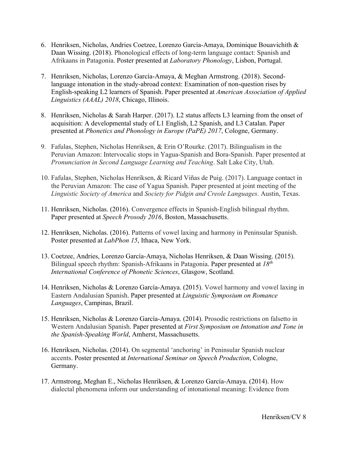- 6. Henriksen, Nicholas, Andries Coetzee, Lorenzo García-Amaya, Dominique Bouavichith & Daan Wissing. (2018). Phonological effects of long-term language contact: Spanish and Afrikaans in Patagonia. Poster presented at *Laboratory Phonology*, Lisbon, Portugal.
- 7. Henriksen, Nicholas, Lorenzo García-Amaya, & Meghan Armstrong. (2018). Secondlanguage intonation in the study-abroad context: Examination of non-question rises by English-speaking L2 learners of Spanish. Paper presented at *American Association of Applied Linguistics (AAAL) 2018*, Chicago, Illinois.
- 8. Henriksen, Nicholas & Sarah Harper. (2017). L2 status affects L3 learning from the onset of acquisition: A developmental study of L1 English, L2 Spanish, and L3 Catalan. Paper presented at *Phonetics and Phonology in Europe (PaPE) 2017*, Cologne, Germany.
- 9. Fafulas, Stephen, Nicholas Henriksen, & Erin O'Rourke. (2017). Bilingualism in the Peruvian Amazon: Intervocalic stops in Yagua-Spanish and Bora-Spanish. Paper presented at *Pronunciation in Second Language Learning and Teaching*. Salt Lake City, Utah.
- 10. Fafulas, Stephen, Nicholas Henriksen, & Ricard Viñas de Puig. (2017). Language contact in the Peruvian Amazon: The case of Yagua Spanish. Paper presented at joint meeting of the *Linguistic Society of America* and *Society for Pidgin and Creole Languages*. Austin, Texas.
- 11. Henriksen, Nicholas. (2016). Convergence effects in Spanish-English bilingual rhythm. Paper presented at *Speech Prosody 2016*, Boston, Massachusetts.
- 12. Henriksen, Nicholas. (2016). Patterns of vowel laxing and harmony in Peninsular Spanish. Poster presented at *LabPhon 15*, Ithaca, New York.
- 13. Coetzee, Andries, Lorenzo García-Amaya, Nicholas Henriksen, & Daan Wissing. (2015). Bilingual speech rhythm: Spanish-Afrikaans in Patagonia. Paper presented at *18th International Conference of Phonetic Sciences*, Glasgow, Scotland.
- 14. Henriksen, Nicholas & Lorenzo García-Amaya. (2015). Vowel harmony and vowel laxing in Eastern Andalusian Spanish. Paper presented at *Linguistic Symposium on Romance Languages*, Campinas, Brazil.
- 15. Henriksen, Nicholas & Lorenzo García-Amaya. (2014). Prosodic restrictions on falsetto in Western Andalusian Spanish. Paper presented at *First Symposium on Intonation and Tone in the Spanish-Speaking World*, Amherst, Massachusetts.
- 16. Henriksen, Nicholas. (2014). On segmental 'anchoring' in Peninsular Spanish nuclear accents. Poster presented at *International Seminar on Speech Production*, Cologne, Germany.
- 17. Armstrong, Meghan E., Nicholas Henriksen, & Lorenzo García-Amaya. (2014). How dialectal phenomena inform our understanding of intonational meaning: Evidence from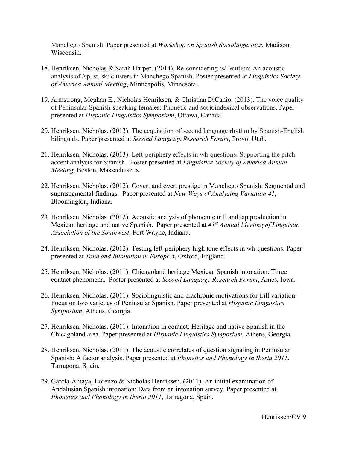Manchego Spanish. Paper presented at *Workshop on Spanish Sociolinguistics*, Madison, Wisconsin.

- 18. Henriksen, Nicholas & Sarah Harper. (2014). Re-considering /s/-lenition: An acoustic analysis of /sp, st, sk/ clusters in Manchego Spanish. Poster presented at *Linguistics Society of America Annual Meeting*, Minneapolis, Minnesota.
- 19. Armstrong, Meghan E., Nicholas Henriksen, & Christian DiCanio. (2013). The voice quality of Peninsular Spanish-speaking females: Phonetic and socioindexical observations. Paper presented at *Hispanic Linguistics Symposium*, Ottawa, Canada.
- 20. Henriksen, Nicholas. (2013). The acquisition of second language rhythm by Spanish-English bilinguals. Paper presented at *Second Language Research Forum*, Provo, Utah.
- 21. Henriksen, Nicholas. (2013). Left-periphery effects in wh-questions: Supporting the pitch accent analysis for Spanish. Poster presented at *Linguistics Society of America Annual Meeting*, Boston, Massachusetts.
- 22. Henriksen, Nicholas. (2012). Covert and overt prestige in Manchego Spanish: Segmental and suprasegmental findings. Paper presented at *New Ways of Analyzing Variation 41*, Bloomington, Indiana.
- 23. Henriksen, Nicholas. (2012). Acoustic analysis of phonemic trill and tap production in Mexican heritage and native Spanish. Paper presented at *41st Annual Meeting of Linguistic Association of the Southwest*, Fort Wayne, Indiana.
- 24. Henriksen, Nicholas. (2012). Testing left-periphery high tone effects in wh-questions. Paper presented at *Tone and Intonation in Europe 5*, Oxford, England.
- 25. Henriksen, Nicholas. (2011). Chicagoland heritage Mexican Spanish intonation: Three contact phenomena. Poster presented at *Second Language Research Forum*, Ames, Iowa.
- 26. Henriksen, Nicholas. (2011). Sociolinguistic and diachronic motivations for trill variation: Focus on two varieties of Peninsular Spanish. Paper presented at *Hispanic Linguistics Symposium*, Athens, Georgia.
- 27. Henriksen, Nicholas. (2011). Intonation in contact: Heritage and native Spanish in the Chicagoland area. Paper presented at *Hispanic Linguistics Symposium*, Athens, Georgia.
- 28. Henriksen, Nicholas. (2011). The acoustic correlates of question signaling in Peninsular Spanish: A factor analysis. Paper presented at *Phonetics and Phonology in Iberia 2011*, Tarragona, Spain.
- 29. García-Amaya, Lorenzo & Nicholas Henriksen. (2011). An initial examination of Andalusian Spanish intonation: Data from an intonation survey. Paper presented at *Phonetics and Phonology in Iberia 2011*, Tarragona, Spain.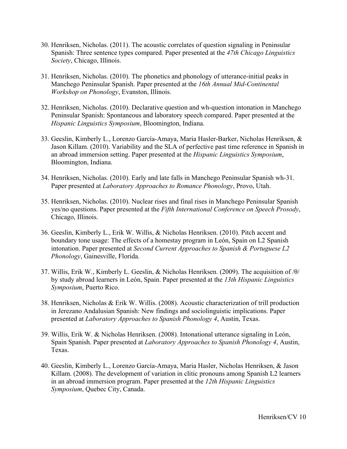- 30. Henriksen, Nicholas. (2011). The acoustic correlates of question signaling in Peninsular Spanish: Three sentence types compared. Paper presented at the *47th Chicago Linguistics Society*, Chicago, Illinois.
- 31. Henriksen, Nicholas. (2010). The phonetics and phonology of utterance-initial peaks in Manchego Peninsular Spanish. Paper presented at the *16th Annual Mid-Continental Workshop on Phonology*, Evanston, Illinois.
- 32. Henriksen, Nicholas. (2010). Declarative question and wh-question intonation in Manchego Peninsular Spanish: Spontaneous and laboratory speech compared. Paper presented at the *Hispanic Linguistics Symposium*, Bloomington, Indiana.
- 33. Geeslin, Kimberly L., Lorenzo García-Amaya, Maria Hasler-Barker, Nicholas Henriksen, & Jason Killam. (2010). Variability and the SLA of perfective past time reference in Spanish in an abroad immersion setting. Paper presented at the *Hispanic Linguistics Symposium*, Bloomington, Indiana.
- 34. Henriksen, Nicholas. (2010). Early and late falls in Manchego Peninsular Spanish wh-31. Paper presented at *Laboratory Approaches to Romance Phonology*, Provo, Utah.
- 35. Henriksen, Nicholas. (2010). Nuclear rises and final rises in Manchego Peninsular Spanish yes/no questions. Paper presented at the *Fifth International Conference on Speech Prosody*, Chicago, Illinois.
- 36. Geeslin, Kimberly L., Erik W. Willis, & Nicholas Henriksen. (2010). Pitch accent and boundary tone usage: The effects of a homestay program in León, Spain on L2 Spanish intonation. Paper presented at *Second Current Approaches to Spanish & Portuguese L2 Phonology*, Gainesville, Florida.
- 37. Willis, Erik W., Kimberly L. Geeslin, & Nicholas Henriksen. (2009). The acquisition of /θ/ by study abroad learners in León, Spain. Paper presented at the *13th Hispanic Linguistics Symposium*, Puerto Rico.
- 38. Henriksen, Nicholas & Erik W. Willis. (2008). Acoustic characterization of trill production in Jerezano Andalusian Spanish: New findings and sociolinguistic implications. Paper presented at *Laboratory Approaches to Spanish Phonology 4*, Austin, Texas.
- 39. Willis, Erik W. & Nicholas Henriksen. (2008). Intonational utterance signaling in León, Spain Spanish. Paper presented at *Laboratory Approaches to Spanish Phonology 4*, Austin, Texas.
- 40. Geeslin, Kimberly L., Lorenzo García-Amaya, Maria Hasler, Nicholas Henriksen, & Jason Killam. (2008). The development of variation in clitic pronouns among Spanish L2 learners in an abroad immersion program. Paper presented at the *12th Hispanic Linguistics Symposium*, Quebec City, Canada.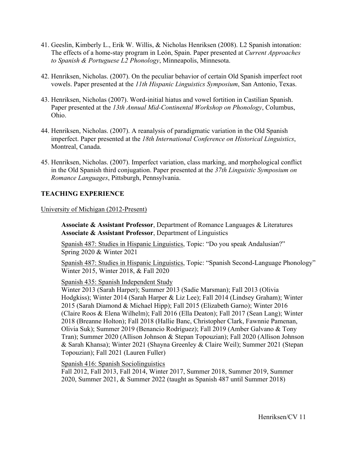- 41. Geeslin, Kimberly L., Erik W. Willis, & Nicholas Henriksen (2008). L2 Spanish intonation: The effects of a home-stay program in León, Spain. Paper presented at *Current Approaches to Spanish & Portuguese L2 Phonology*, Minneapolis, Minnesota.
- 42. Henriksen, Nicholas. (2007). On the peculiar behavior of certain Old Spanish imperfect root vowels. Paper presented at the *11th Hispanic Linguistics Symposium*, San Antonio, Texas.
- 43. Henriksen, Nicholas (2007). Word-initial hiatus and vowel fortition in Castilian Spanish. Paper presented at the *13th Annual Mid-Continental Workshop on Phonology*, Columbus, Ohio.
- 44. Henriksen, Nicholas. (2007). A reanalysis of paradigmatic variation in the Old Spanish imperfect. Paper presented at the *18th International Conference on Historical Linguistics*, Montreal, Canada.
- 45. Henriksen, Nicholas. (2007). Imperfect variation, class marking, and morphological conflict in the Old Spanish third conjugation. Paper presented at the *37th Linguistic Symposium on Romance Languages*, Pittsburgh, Pennsylvania.

## **TEACHING EXPERIENCE**

University of Michigan (2012-Present)

**Associate & Assistant Professor**, Department of Romance Languages & Literatures **Associate & Assistant Professor**, Department of Linguistics

Spanish 487: Studies in Hispanic Linguistics, Topic: "Do you speak Andalusian?" Spring 2020 & Winter 2021

Spanish 487: Studies in Hispanic Linguistics, Topic: "Spanish Second-Language Phonology" Winter 2015, Winter 2018, & Fall 2020

Spanish 435: Spanish Independent Study

Winter 2013 (Sarah Harper); Summer 2013 (Sadie Marsman); Fall 2013 (Olivia Hodgkiss); Winter 2014 (Sarah Harper & Liz Lee); Fall 2014 (Lindsey Graham); Winter 2015 (Sarah Diamond & Michael Hipp); Fall 2015 (Elizabeth Garno); Winter 2016 (Claire Roos & Elena Wilhelm); Fall 2016 (Ella Deaton); Fall 2017 (Sean Lang); Winter 2018 (Breanne Holton); Fall 2018 (Hallie Banc, Christopher Clark, Fawnnie Pamenan, Olivia Suk); Summer 2019 (Benancio Rodríguez); Fall 2019 (Amber Galvano & Tony Tran); Summer 2020 (Allison Johnson & Stepan Topouzian); Fall 2020 (Allison Johnson & Sarah Khansa); Winter 2021 (Shayna Greenley & Claire Weil); Summer 2021 (Stepan Topouzian); Fall 2021 (Lauren Fuller)

Spanish 416: Spanish Sociolinguistics

Fall 2012, Fall 2013, Fall 2014, Winter 2017, Summer 2018, Summer 2019, Summer 2020, Summer 2021, & Summer 2022 (taught as Spanish 487 until Summer 2018)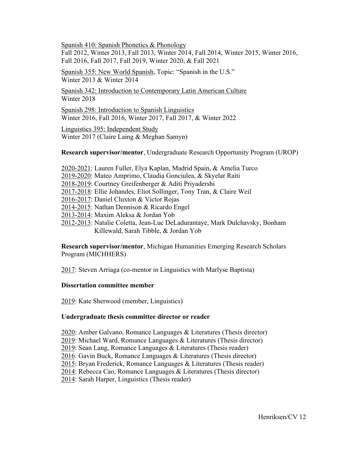Spanish 410: Spanish Phonetics & Phonology Fall 2012, Winter 2013, Fall 2013, Winter 2014, Fall 2014, Winter 2015, Winter 2016, Fall 2016, Fall 2017, Fall 2019, Winter 2020, & Fall 2021

Spanish 355: New World Spanish, Topic: "Spanish in the U.S." Winter 2013 & Winter 2014

Spanish 342: Introduction to Contemporary Latin American Culture Winter 2018

Spanish 298: Introduction to Spanish Linguistics Winter 2016, Fall 2016, Winter 2017, Fall 2017, & Winter 2022

Linguistics 395: Independent Study Winter 2017 (Claire Laing & Meghan Samyn)

**Research supervisor/mentor**, Undergraduate Research Opportunity Program (UROP)

- 2020-2021: Lauren Fuller, Elya Kaplan, Madrid Spain, & Amelia Turco
- 2019-2020: Mateo Amprimo, Claudia Gonciulea, & Skyelar Raiti
- 2018-2019: Courtney Greifenberger & Aditi Priyadershi
- 2017-2018: Ellie Johandes, Eliot Sollinger, Tony Tran, & Claire Weil
- 2016-2017: Daniel Cluxton & Victor Rojas
- 2014-2015: Nathan Dennison & Ricardo Engel
- 2013-2014: Maxim Aleksa & Jordan Yob
- 2012-2013: Natalie Coletta, Jean-Luc DeLadurantaye, Mark Dulchavsky, Bonham Killewald, Sarah Tibble, & Jordan Yob

**Research supervisor/mentor**, Michigan Humanities Emerging Research Scholars Program (MICHHERS)

2017: Steven Arriaga (co-mentor in Linguistics with Marlyse Baptista)

#### **Dissertation committee member**

2019: Kate Sherwood (member, Linguistics)

#### **Undergraduate thesis committee director or reader**

- 2020: Amber Galvano, Romance Languages & Literatures (Thesis director)
- 2019: Michael Ward, Romance Languages & Literatures (Thesis director)
- 2019: Sean Lang, Romance Languages & Literatures (Thesis reader)
- 2016: Gavin Buck, Romance Languages & Literatures (Thesis director)
- 2015: Bryan Frederick, Romance Languages & Literatures (Thesis reader)
- 2014: Rebecca Cao, Romance Languages & Literatures (Thesis director)
- 2014: Sarah Harper, Linguistics (Thesis reader)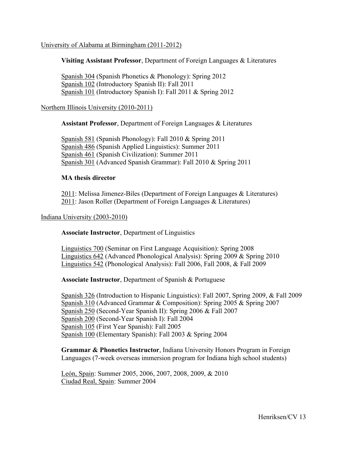## University of Alabama at Birmingham (2011-2012)

## **Visiting Assistant Professor**, Department of Foreign Languages & Literatures

Spanish 304 (Spanish Phonetics & Phonology): Spring 2012 Spanish 102 (Introductory Spanish II): Fall 2011 Spanish 101 (Introductory Spanish I): Fall 2011 & Spring 2012

## Northern Illinois University (2010-2011)

**Assistant Professor**, Department of Foreign Languages & Literatures

Spanish 581 (Spanish Phonology): Fall 2010 & Spring 2011 Spanish 486 (Spanish Applied Linguistics): Summer 2011 Spanish 461 (Spanish Civilization): Summer 2011 Spanish 301 (Advanced Spanish Grammar): Fall 2010 & Spring 2011

#### **MA thesis director**

2011: Melissa Jimenez-Biles (Department of Foreign Languages & Literatures) 2011: Jason Roller (Department of Foreign Languages & Literatures)

#### Indiana University (2003-2010)

**Associate Instructor**, Department of Linguistics

Linguistics 700 (Seminar on First Language Acquisition): Spring 2008 Linguistics 642 (Advanced Phonological Analysis): Spring 2009 & Spring 2010 Linguistics 542 (Phonological Analysis): Fall 2006, Fall 2008, & Fall 2009

**Associate Instructor**, Department of Spanish & Portuguese

Spanish 326 (Introduction to Hispanic Linguistics): Fall 2007, Spring 2009, & Fall 2009 Spanish 310 (Advanced Grammar & Composition): Spring 2005 & Spring 2007 Spanish 250 (Second-Year Spanish II): Spring 2006 & Fall 2007 Spanish 200 (Second-Year Spanish I): Fall 2004 Spanish 105 (First Year Spanish): Fall 2005 Spanish 100 (Elementary Spanish): Fall 2003 & Spring 2004

**Grammar & Phonetics Instructor**, Indiana University Honors Program in Foreign Languages (7-week overseas immersion program for Indiana high school students)

León, Spain: Summer 2005, 2006, 2007, 2008, 2009, & 2010 Ciudad Real, Spain: Summer 2004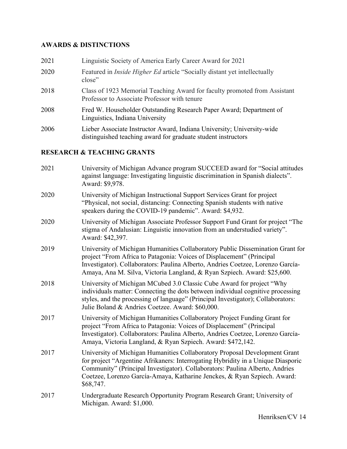# **AWARDS & DISTINCTIONS**

| 2021 | Linguistic Society of America Early Career Award for 2021                                                                               |
|------|-----------------------------------------------------------------------------------------------------------------------------------------|
| 2020 | Featured in <i>Inside Higher Ed</i> article "Socially distant yet intellectually<br>close"                                              |
| 2018 | Class of 1923 Memorial Teaching Award for faculty promoted from Assistant<br>Professor to Associate Professor with tenure               |
| 2008 | Fred W. Householder Outstanding Research Paper Award; Department of<br>Linguistics, Indiana University                                  |
| 2006 | Lieber Associate Instructor Award, Indiana University; University-wide<br>distinguished teaching award for graduate student instructors |

# **RESEARCH & TEACHING GRANTS**

| 2021 | University of Michigan Advance program SUCCEED award for "Social attitudes<br>against language: Investigating linguistic discrimination in Spanish dialects".<br>Award: \$9,978.                                                                                                                                                        |
|------|-----------------------------------------------------------------------------------------------------------------------------------------------------------------------------------------------------------------------------------------------------------------------------------------------------------------------------------------|
| 2020 | University of Michigan Instructional Support Services Grant for project<br>"Physical, not social, distancing: Connecting Spanish students with native<br>speakers during the COVID-19 pandemic". Award: \$4,932.                                                                                                                        |
| 2020 | University of Michigan Associate Professor Support Fund Grant for project "The<br>stigma of Andalusian: Linguistic innovation from an understudied variety".<br>Award: \$42,397.                                                                                                                                                        |
| 2019 | University of Michigan Humanities Collaboratory Public Dissemination Grant for<br>project "From Africa to Patagonia: Voices of Displacement" (Principal<br>Investigator). Collaborators: Paulina Alberto, Andries Coetzee, Lorenzo García-<br>Amaya, Ana M. Silva, Victoria Langland, & Ryan Szpiech. Award: \$25,600.                  |
| 2018 | University of Michigan MCubed 3.0 Classic Cube Award for project "Why<br>individuals matter: Connecting the dots between individual cognitive processing<br>styles, and the processing of language" (Principal Investigator); Collaborators:<br>Julie Boland & Andries Coetzee. Award: \$60,000.                                        |
| 2017 | University of Michigan Humanities Collaboratory Project Funding Grant for<br>project "From Africa to Patagonia: Voices of Displacement" (Principal<br>Investigator). Collaborators: Paulina Alberto, Andries Coetzee, Lorenzo García-<br>Amaya, Victoria Langland, & Ryan Szpiech. Award: \$472,142.                                    |
| 2017 | University of Michigan Humanities Collaboratory Proposal Development Grant<br>for project "Argentine Afrikaners: Interrogating Hybridity in a Unique Diasporic<br>Community" (Principal Investigator). Collaborators: Paulina Alberto, Andries<br>Coetzee, Lorenzo García-Amaya, Katharine Jenckes, & Ryan Szpiech. Award:<br>\$68,747. |
| 2017 | Undergraduate Research Opportunity Program Research Grant; University of<br>Michigan. Award: \$1,000.                                                                                                                                                                                                                                   |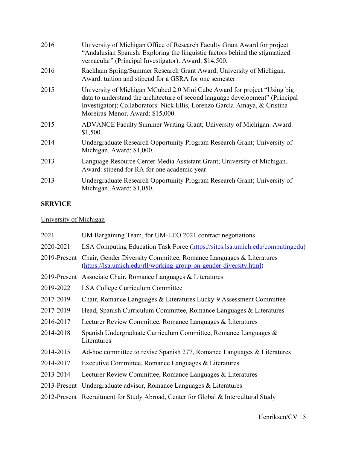| 2016 | University of Michigan Office of Research Faculty Grant Award for project<br>"Andalusian Spanish: Exploring the linguistic factors behind the stigmatized<br>vernacular" (Principal Investigator). Award: \$14,500.                                                           |
|------|-------------------------------------------------------------------------------------------------------------------------------------------------------------------------------------------------------------------------------------------------------------------------------|
| 2016 | Rackham Spring/Summer Research Grant Award; University of Michigan.<br>Award: tuition and stipend for a GSRA for one semester.                                                                                                                                                |
| 2015 | University of Michigan MCubed 2.0 Mini Cube Award for project "Using big"<br>data to understand the architecture of second language development" (Principal<br>Investigator); Collaborators: Nick Ellis, Lorenzo García-Amaya, & Cristina<br>Moreiras-Menor. Award: \$15,000. |
| 2015 | ADVANCE Faculty Summer Writing Grant; University of Michigan. Award:<br>\$1,500.                                                                                                                                                                                              |
| 2014 | Undergraduate Research Opportunity Program Research Grant; University of<br>Michigan. Award: \$1,000.                                                                                                                                                                         |
| 2013 | Language Resource Center Media Assistant Grant; University of Michigan.<br>Award: stipend for RA for one academic year.                                                                                                                                                       |
| 2013 | Undergraduate Research Opportunity Program Research Grant; University of<br>Michigan. Award: \$1,050.                                                                                                                                                                         |

# **SERVICE**

# University of Michigan

| 2021         | UM Bargaining Team, for UM-LEO 2021 contract negotiations                                                                                |
|--------------|------------------------------------------------------------------------------------------------------------------------------------------|
| 2020-2021    | LSA Computing Education Task Force (https://sites.lsa.umich.edu/computingedu)                                                            |
| 2019-Present | Chair, Gender Diversity Committee, Romance Languages & Literatures<br>(https://lsa.umich.edu/rll/working-group-on-gender-diversity.html) |
|              | 2019-Present Associate Chair, Romance Languages & Literatures                                                                            |
| 2019-2022    | LSA College Curriculum Committee                                                                                                         |
| 2017-2019    | Chair, Romance Languages & Literatures Lucky-9 Assessment Committee                                                                      |
| 2017-2019    | Head, Spanish Curriculum Committee, Romance Languages & Literatures                                                                      |
| 2016-2017    | Lecturer Review Committee, Romance Languages & Literatures                                                                               |
| 2014-2018    | Spanish Undergraduate Curriculum Committee, Romance Languages &<br>Literatures                                                           |
| 2014-2015    | Ad-hoc committee to revise Spanish 277, Romance Languages & Literatures                                                                  |
| 2014-2017    | Executive Committee, Romance Languages & Literatures                                                                                     |
| 2013-2014    | Lecturer Review Committee, Romance Languages & Literatures                                                                               |
|              | 2013-Present Undergraduate advisor, Romance Languages & Literatures                                                                      |
|              | 2012-Present Recruitment for Study Abroad, Center for Global & Intercultural Study                                                       |
|              |                                                                                                                                          |